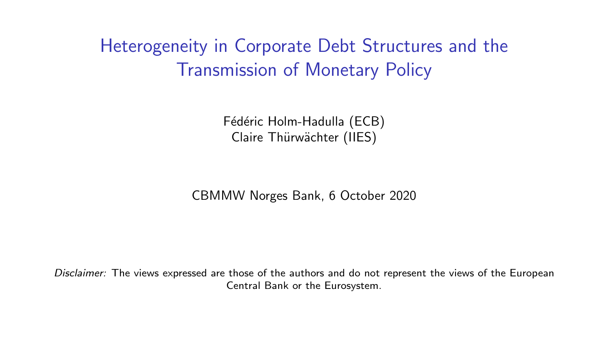Heterogeneity in Corporate Debt Structures and the Transmission of Monetary Policy

> Fédéric Holm-Hadulla (ECB) Claire Thürwächter (IIES)

CBMMW Norges Bank, 6 October 2020

*Disclaimer:* The views expressed are those of the authors and do not represent the views of the European Central Bank or the Eurosystem.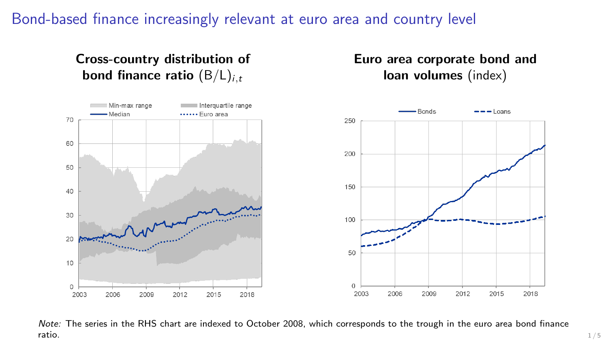## Bond-based finance increasingly relevant at euro area and country level

Cross-country distribution of bond finance ratio (B/L)*<sup>i</sup>,<sup>t</sup>*



Euro area corporate bond and loan volumes (index)

*Note:* The series in the RHS chart are indexed to October 2008, which corresponds to the trough in the euro area bond finance **ratio.** The set of the set of the set of the set of the set of the set of the set of the set of the set of the set of the set of the set of the set of the set of the set of the set of the set of the set of the set of the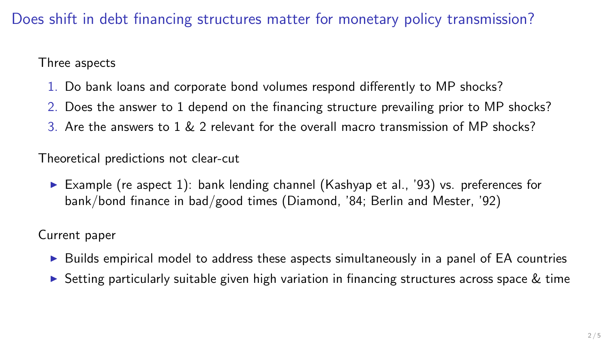## Does shift in debt financing structures matter for monetary policy transmission?

Three aspects

- 1. Do bank loans and corporate bond volumes respond differently to MP shocks?
- 2. Does the answer to 1 depend on the financing structure prevailing prior to MP shocks?
- 3. Are the answers to 1 & 2 relevant for the overall macro transmission of MP shocks?

Theoretical predictions not clear-cut

Example (re aspect 1): bank lending channel (Kashyap et al., '93) vs. preferences for bank/bond finance in bad/good times (Diamond, '84; Berlin and Mester, '92)

Current paper

- $\triangleright$  Builds empirical model to address these aspects simultaneously in a panel of EA countries
- $\triangleright$  Setting particularly suitable given high variation in financing structures across space  $\&$  time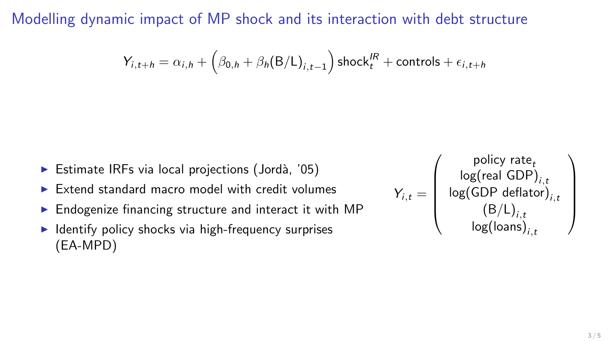Modelling dynamic impact of MP shock and its interaction with debt structure

$$
Y_{i,t+h} = \alpha_{i,h} + \left(\beta_{0,h} + \beta_h(B/L)_{i,t-1}\right) \text{shock}^{IR}_t + \text{controls} + \epsilon_{i,t+h}
$$

- $\blacktriangleright$  Estimate IRFs via local projections (Jordà, '05)
- $\triangleright$  Extend standard macro model with credit volumes
- $\triangleright$  Endogenize financing structure and interact it with MP
- $\blacktriangleright$  Identify policy shocks via high-frequency surprises (EA-MPD)

$$
Y_{i,t} = \left(\begin{array}{c} \text{policy rate}_t \\ \text{log}(\text{real GDP})_{i,t} \\ \text{log}(\text{GDP deflator})_{i,t} \\ (\text{B/L})_{i,t} \\ \text{log}(\text{loans})_{i,t} \end{array}\right)
$$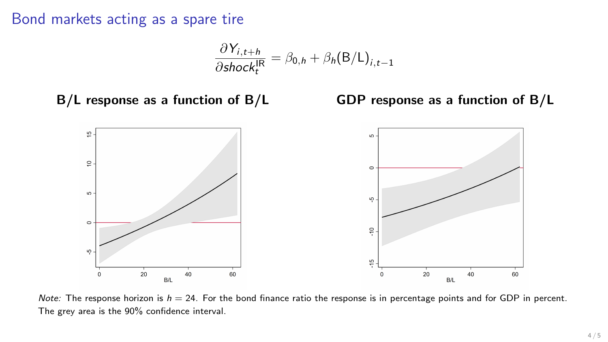Bond markets acting as a spare tire

$$
\frac{\partial Y_{i,t+h}}{\partial \text{shock}_{t}^{\text{IR}}} = \beta_{0,h} + \beta_{h}(\text{B}/\text{L})_{i,t-1}
$$

B/L response as a function of B/L GDP response as a function of B/L



*Note:* The response horizon is  $h = 24$ . For the bond finance ratio the response is in percentage points and for GDP in percent. The grey area is the 90% confidence interval.